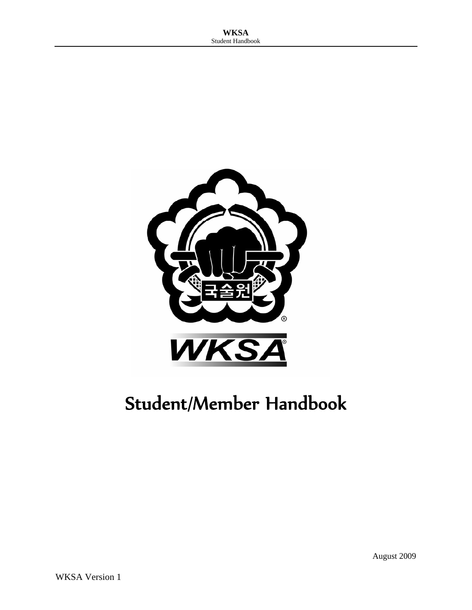

# Student/Member Handbook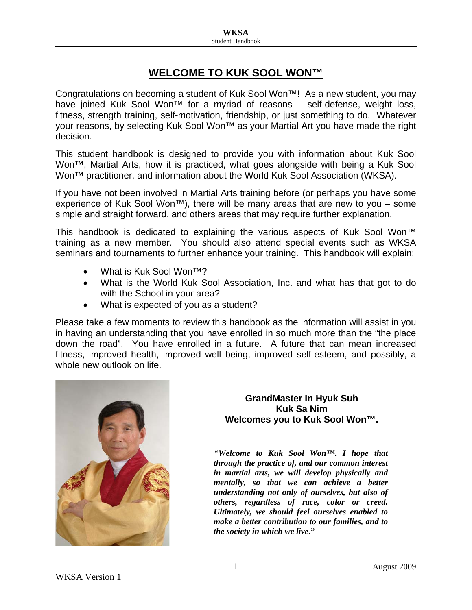## **WELCOME TO KUK SOOL WON™**

Congratulations on becoming a student of Kuk Sool Won™! As a new student, you may have joined Kuk Sool Won™ for a myriad of reasons – self-defense, weight loss, fitness, strength training, self-motivation, friendship, or just something to do. Whatever your reasons, by selecting Kuk Sool Won™ as your Martial Art you have made the right decision.

This student handbook is designed to provide you with information about Kuk Sool Won™, Martial Arts, how it is practiced, what goes alongside with being a Kuk Sool Won™ practitioner, and information about the World Kuk Sool Association (WKSA).

If you have not been involved in Martial Arts training before (or perhaps you have some experience of Kuk Sool Won<sup>™</sup>), there will be many areas that are new to you – some simple and straight forward, and others areas that may require further explanation.

This handbook is dedicated to explaining the various aspects of Kuk Sool Won™ training as a new member. You should also attend special events such as WKSA seminars and tournaments to further enhance your training. This handbook will explain:

- What is Kuk Sool Won<sup>™?</sup>
- What is the World Kuk Sool Association, Inc. and what has that got to do with the School in your area?
- What is expected of you as a student?

Please take a few moments to review this handbook as the information will assist in you in having an understanding that you have enrolled in so much more than the "the place down the road". You have enrolled in a future. A future that can mean increased fitness, improved health, improved well being, improved self-esteem, and possibly, a whole new outlook on life.



#### **GrandMaster In Hyuk Suh Kuk Sa Nim Welcomes you to Kuk Sool Won™.**

*"Welcome to Kuk Sool Won™. I hope that through the practice of, and our common interest in martial arts, we will develop physically and mentally, so that we can achieve a better understanding not only of ourselves, but also of others, regardless of race, color or creed. Ultimately, we should feel ourselves enabled to make a better contribution to our families, and to the society in which we live***."**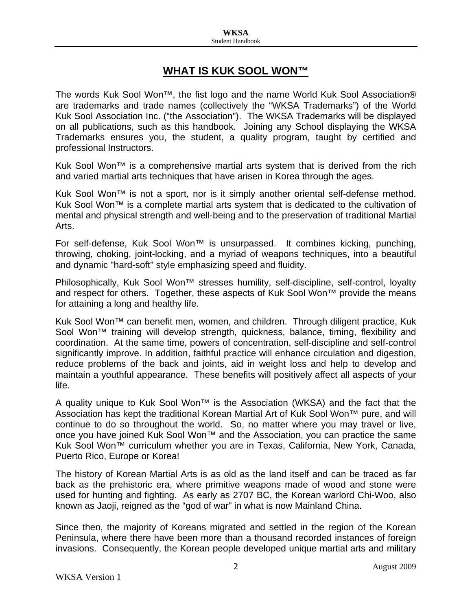## **WHAT IS KUK SOOL WON™**

The words Kuk Sool Won™, the fist logo and the name World Kuk Sool Association® are trademarks and trade names (collectively the "WKSA Trademarks") of the World Kuk Sool Association Inc. ("the Association"). The WKSA Trademarks will be displayed on all publications, such as this handbook. Joining any School displaying the WKSA Trademarks ensures you, the student, a quality program, taught by certified and professional Instructors.

Kuk Sool Won™ is a comprehensive martial arts system that is derived from the rich and varied martial arts techniques that have arisen in Korea through the ages.

Kuk Sool Won™ is not a sport, nor is it simply another oriental self-defense method. Kuk Sool Won™ is a complete martial arts system that is dedicated to the cultivation of mental and physical strength and well-being and to the preservation of traditional Martial Arts.

For self-defense, Kuk Sool Won™ is unsurpassed. It combines kicking, punching, throwing, choking, joint-locking, and a myriad of weapons techniques, into a beautiful and dynamic "hard-soft" style emphasizing speed and fluidity.

Philosophically, Kuk Sool Won™ stresses humility, self-discipline, self-control, loyalty and respect for others. Together, these aspects of Kuk Sool Won™ provide the means for attaining a long and healthy life.

Kuk Sool Won™ can benefit men, women, and children. Through diligent practice, Kuk Sool Won<sup>™</sup> training will develop strength, quickness, balance, timing, flexibility and coordination. At the same time, powers of concentration, self-discipline and self-control significantly improve. In addition, faithful practice will enhance circulation and digestion, reduce problems of the back and joints, aid in weight loss and help to develop and maintain a youthful appearance. These benefits will positively affect all aspects of your life.

A quality unique to Kuk Sool Won™ is the Association (WKSA) and the fact that the Association has kept the traditional Korean Martial Art of Kuk Sool Won™ pure, and will continue to do so throughout the world. So, no matter where you may travel or live, once you have joined Kuk Sool Won™ and the Association, you can practice the same Kuk Sool Won™ curriculum whether you are in Texas, California, New York, Canada, Puerto Rico, Europe or Korea!

The history of Korean Martial Arts is as old as the land itself and can be traced as far back as the prehistoric era, where primitive weapons made of wood and stone were used for hunting and fighting. As early as 2707 BC, the Korean warlord Chi-Woo, also known as Jaoji, reigned as the "god of war" in what is now Mainland China.

Since then, the majority of Koreans migrated and settled in the region of the Korean Peninsula, where there have been more than a thousand recorded instances of foreign invasions. Consequently, the Korean people developed unique martial arts and military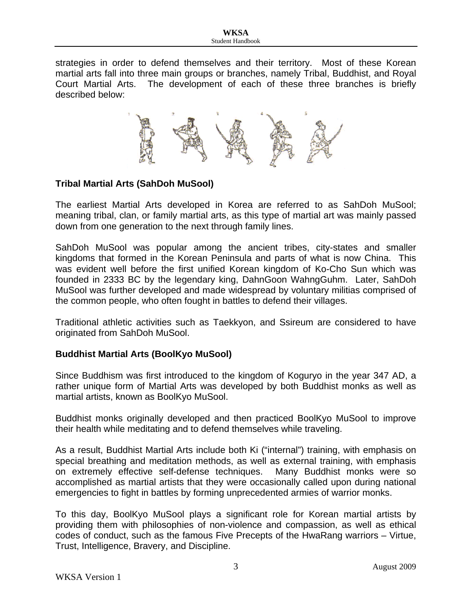strategies in order to defend themselves and their territory. Most of these Korean martial arts fall into three main groups or branches, namely Tribal, Buddhist, and Royal Court Martial Arts. The development of each of these three branches is briefly described below:



#### **Tribal Martial Arts (SahDoh MuSool)**

The earliest Martial Arts developed in Korea are referred to as SahDoh MuSool; meaning tribal, clan, or family martial arts, as this type of martial art was mainly passed down from one generation to the next through family lines.

SahDoh MuSool was popular among the ancient tribes, city-states and smaller kingdoms that formed in the Korean Peninsula and parts of what is now China. This was evident well before the first unified Korean kingdom of Ko-Cho Sun which was founded in 2333 BC by the legendary king, DahnGoon WahngGuhm. Later, SahDoh MuSool was further developed and made widespread by voluntary militias comprised of the common people, who often fought in battles to defend their villages.

Traditional athletic activities such as Taekkyon, and Ssireum are considered to have originated from SahDoh MuSool.

#### **Buddhist Martial Arts (BoolKyo MuSool)**

Since Buddhism was first introduced to the kingdom of Koguryo in the year 347 AD, a rather unique form of Martial Arts was developed by both Buddhist monks as well as martial artists, known as BoolKyo MuSool.

Buddhist monks originally developed and then practiced BoolKyo MuSool to improve their health while meditating and to defend themselves while traveling.

As a result, Buddhist Martial Arts include both Ki ("internal") training, with emphasis on special breathing and meditation methods, as well as external training, with emphasis on extremely effective self-defense techniques. Many Buddhist monks were so accomplished as martial artists that they were occasionally called upon during national emergencies to fight in battles by forming unprecedented armies of warrior monks.

To this day, BoolKyo MuSool plays a significant role for Korean martial artists by providing them with philosophies of non-violence and compassion, as well as ethical codes of conduct, such as the famous Five Precepts of the HwaRang warriors – Virtue, Trust, Intelligence, Bravery, and Discipline.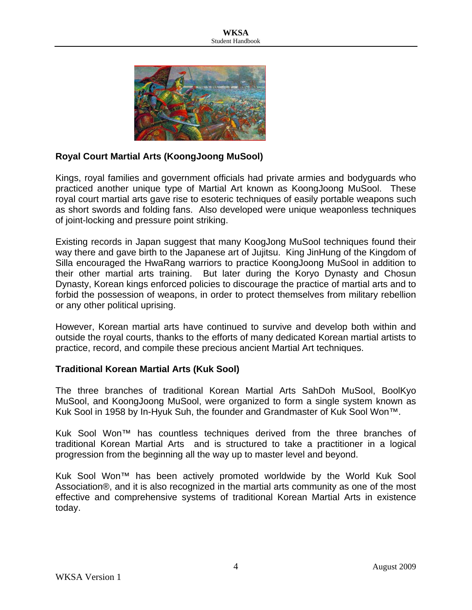

#### **Royal Court Martial Arts (KoongJoong MuSool)**

Kings, royal families and government officials had private armies and bodyguards who practiced another unique type of Martial Art known as KoongJoong MuSool. These royal court martial arts gave rise to esoteric techniques of easily portable weapons such as short swords and folding fans. Also developed were unique weaponless techniques of joint-locking and pressure point striking.

Existing records in Japan suggest that many KoogJong MuSool techniques found their way there and gave birth to the Japanese art of Jujitsu. King JinHung of the Kingdom of Silla encouraged the HwaRang warriors to practice KoongJoong MuSool in addition to their other martial arts training. But later during the Koryo Dynasty and Chosun Dynasty, Korean kings enforced policies to discourage the practice of martial arts and to forbid the possession of weapons, in order to protect themselves from military rebellion or any other political uprising.

However, Korean martial arts have continued to survive and develop both within and outside the royal courts, thanks to the efforts of many dedicated Korean martial artists to practice, record, and compile these precious ancient Martial Art techniques.

#### **Traditional Korean Martial Arts (Kuk Sool)**

The three branches of traditional Korean Martial Arts SahDoh MuSool, BoolKyo MuSool, and KoongJoong MuSool, were organized to form a single system known as Kuk Sool in 1958 by In-Hyuk Suh, the founder and Grandmaster of Kuk Sool Won™.

Kuk Sool Won™ has countless techniques derived from the three branches of traditional Korean Martial Arts and is structured to take a practitioner in a logical progression from the beginning all the way up to master level and beyond.

Kuk Sool Won™ has been actively promoted worldwide by the World Kuk Sool Association®, and it is also recognized in the martial arts community as one of the most effective and comprehensive systems of traditional Korean Martial Arts in existence today.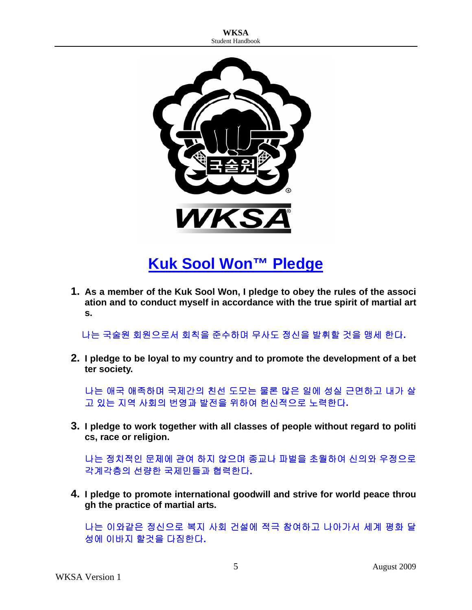

## **Kuk Sool Won™ Pledge**

**1. As a member of the Kuk Sool Won, I pledge to obey the rules of the associ ation and to conduct myself in accordance with the true spirit of martial art s.** 

나는 국술원 회원으로서 회칙을 준수하며 무사도 정신을 발휘할 것을 맹세 한다**.** 

**2. I pledge to be loyal to my country and to promote the development of a bet ter society.** 

나는 애국 애족하며 국제간의 친선 도모는 물론 많은 일에 성실 근면하고 내가 살 고 있는 지역 사회의 번영과 발전을 위하여 헌신적으로 노력한다**.** 

**3. I pledge to work together with all classes of people without regard to politi cs, race or religion.** 

나는 정치적인 문제에 관여 하지 않으며 종교나 파벌을 초월하여 신의와 우정으로 각계각층의 선량한 국제민들과 협력한다**.** 

**4. I pledge to promote international goodwill and strive for world peace throu gh the practice of martial arts.** 

나는 이와같은 정신으로 복지 사회 건설에 적극 참여하고 나아가서 세계 평화 달 성에 이바지 할것을 다짐한다**.**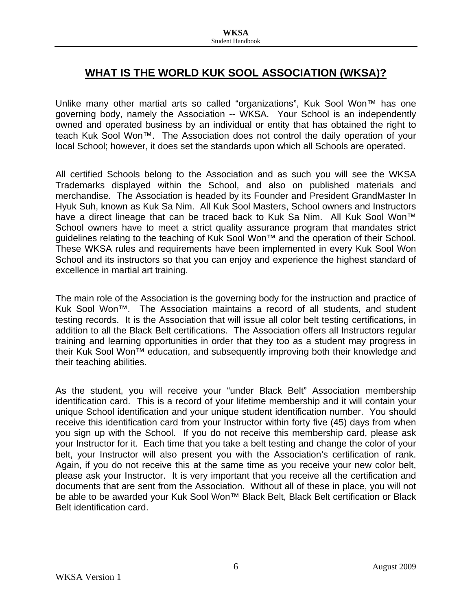## **WHAT IS THE WORLD KUK SOOL ASSOCIATION (WKSA)?**

Unlike many other martial arts so called "organizations", Kuk Sool Won™ has one governing body, namely the Association -- WKSA. Your School is an independently owned and operated business by an individual or entity that has obtained the right to teach Kuk Sool Won™. The Association does not control the daily operation of your local School; however, it does set the standards upon which all Schools are operated.

All certified Schools belong to the Association and as such you will see the WKSA Trademarks displayed within the School, and also on published materials and merchandise. The Association is headed by its Founder and President GrandMaster In Hyuk Suh, known as Kuk Sa Nim. All Kuk Sool Masters, School owners and Instructors have a direct lineage that can be traced back to Kuk Sa Nim. All Kuk Sool Won™ School owners have to meet a strict quality assurance program that mandates strict guidelines relating to the teaching of Kuk Sool Won™ and the operation of their School. These WKSA rules and requirements have been implemented in every Kuk Sool Won School and its instructors so that you can enjoy and experience the highest standard of excellence in martial art training.

The main role of the Association is the governing body for the instruction and practice of Kuk Sool Won™. The Association maintains a record of all students, and student testing records. It is the Association that will issue all color belt testing certifications, in addition to all the Black Belt certifications. The Association offers all Instructors regular training and learning opportunities in order that they too as a student may progress in their Kuk Sool Won™ education, and subsequently improving both their knowledge and their teaching abilities.

As the student, you will receive your "under Black Belt" Association membership identification card. This is a record of your lifetime membership and it will contain your unique School identification and your unique student identification number. You should receive this identification card from your Instructor within forty five (45) days from when you sign up with the School. If you do not receive this membership card, please ask your Instructor for it. Each time that you take a belt testing and change the color of your belt, your Instructor will also present you with the Association's certification of rank. Again, if you do not receive this at the same time as you receive your new color belt, please ask your Instructor. It is very important that you receive all the certification and documents that are sent from the Association. Without all of these in place, you will not be able to be awarded your Kuk Sool Won™ Black Belt, Black Belt certification or Black Belt identification card.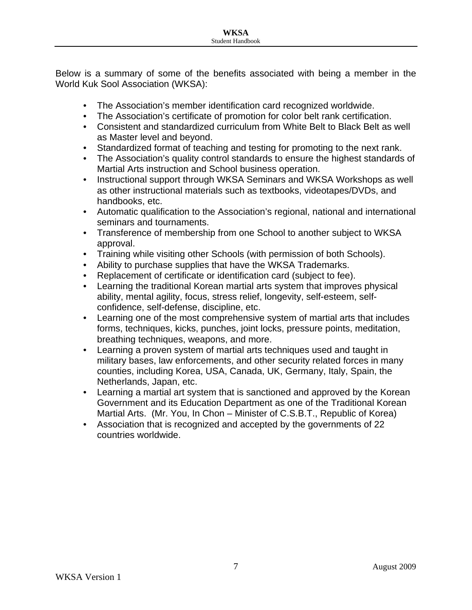Below is a summary of some of the benefits associated with being a member in the World Kuk Sool Association (WKSA):

- The Association's member identification card recognized worldwide.
- The Association's certificate of promotion for color belt rank certification.
- Consistent and standardized curriculum from White Belt to Black Belt as well as Master level and beyond.
- Standardized format of teaching and testing for promoting to the next rank.
- The Association's quality control standards to ensure the highest standards of Martial Arts instruction and School business operation.
- Instructional support through WKSA Seminars and WKSA Workshops as well as other instructional materials such as textbooks, videotapes/DVDs, and handbooks, etc.
- Automatic qualification to the Association's regional, national and international seminars and tournaments.
- Transference of membership from one School to another subject to WKSA approval.
- Training while visiting other Schools (with permission of both Schools).
- Ability to purchase supplies that have the WKSA Trademarks.
- Replacement of certificate or identification card (subject to fee).
- Learning the traditional Korean martial arts system that improves physical ability, mental agility, focus, stress relief, longevity, self-esteem, selfconfidence, self-defense, discipline, etc.
- Learning one of the most comprehensive system of martial arts that includes forms, techniques, kicks, punches, joint locks, pressure points, meditation, breathing techniques, weapons, and more.
- Learning a proven system of martial arts techniques used and taught in military bases, law enforcements, and other security related forces in many counties, including Korea, USA, Canada, UK, Germany, Italy, Spain, the Netherlands, Japan, etc.
- Learning a martial art system that is sanctioned and approved by the Korean Government and its Education Department as one of the Traditional Korean Martial Arts. (Mr. You, In Chon – Minister of C.S.B.T., Republic of Korea)
- Association that is recognized and accepted by the governments of 22 countries worldwide.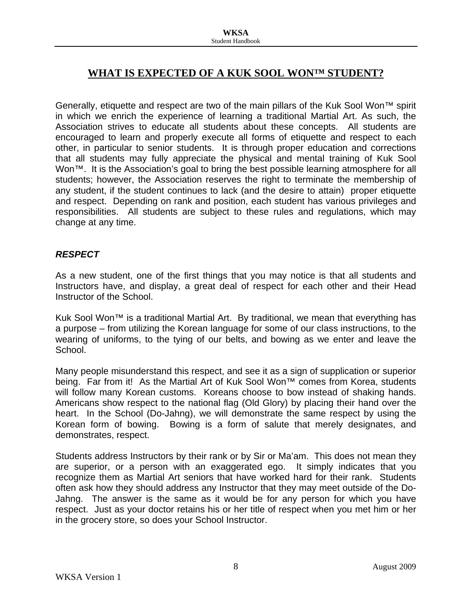## **WHAT IS EXPECTED OF A KUK SOOL WON™ STUDENT?**

Generally, etiquette and respect are two of the main pillars of the Kuk Sool Won™ spirit in which we enrich the experience of learning a traditional Martial Art. As such, the Association strives to educate all students about these concepts. All students are encouraged to learn and properly execute all forms of etiquette and respect to each other, in particular to senior students. It is through proper education and corrections that all students may fully appreciate the physical and mental training of Kuk Sool Won<sup>™</sup>. It is the Association's goal to bring the best possible learning atmosphere for all students; however, the Association reserves the right to terminate the membership of any student, if the student continues to lack (and the desire to attain) proper etiquette and respect. Depending on rank and position, each student has various privileges and responsibilities. All students are subject to these rules and regulations, which may change at any time.

#### *RESPECT*

As a new student, one of the first things that you may notice is that all students and Instructors have, and display, a great deal of respect for each other and their Head Instructor of the School.

Kuk Sool Won<sup>™</sup> is a traditional Martial Art. By traditional, we mean that everything has a purpose – from utilizing the Korean language for some of our class instructions, to the wearing of uniforms, to the tying of our belts, and bowing as we enter and leave the School.

Many people misunderstand this respect, and see it as a sign of supplication or superior being. Far from it! As the Martial Art of Kuk Sool Won™ comes from Korea, students will follow many Korean customs. Koreans choose to bow instead of shaking hands. Americans show respect to the national flag (Old Glory) by placing their hand over the heart. In the School (Do-Jahng), we will demonstrate the same respect by using the Korean form of bowing. Bowing is a form of salute that merely designates, and demonstrates, respect.

Students address Instructors by their rank or by Sir or Ma'am. This does not mean they are superior, or a person with an exaggerated ego. It simply indicates that you recognize them as Martial Art seniors that have worked hard for their rank. Students often ask how they should address any Instructor that they may meet outside of the Do-Jahng. The answer is the same as it would be for any person for which you have respect. Just as your doctor retains his or her title of respect when you met him or her in the grocery store, so does your School Instructor.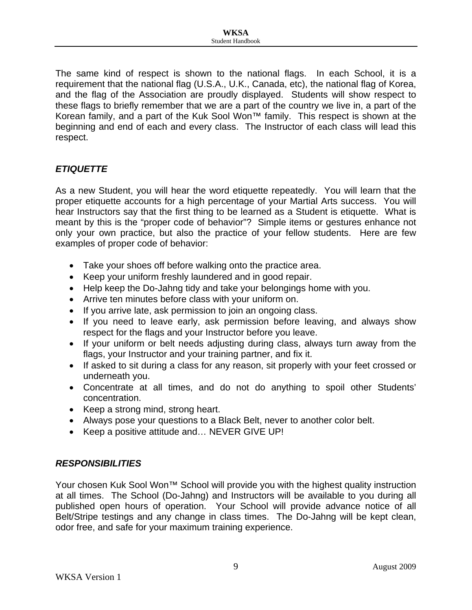The same kind of respect is shown to the national flags. In each School, it is a requirement that the national flag (U.S.A., U.K., Canada, etc), the national flag of Korea, and the flag of the Association are proudly displayed. Students will show respect to these flags to briefly remember that we are a part of the country we live in, a part of the Korean family, and a part of the Kuk Sool Won™ family. This respect is shown at the beginning and end of each and every class. The Instructor of each class will lead this respect.

#### *ETIQUETTE*

As a new Student, you will hear the word etiquette repeatedly. You will learn that the proper etiquette accounts for a high percentage of your Martial Arts success. You will hear Instructors say that the first thing to be learned as a Student is etiquette. What is meant by this is the "proper code of behavior"? Simple items or gestures enhance not only your own practice, but also the practice of your fellow students. Here are few examples of proper code of behavior:

- Take your shoes off before walking onto the practice area.
- Keep your uniform freshly laundered and in good repair.
- Help keep the Do-Jahng tidy and take your belongings home with you.
- Arrive ten minutes before class with your uniform on.
- If you arrive late, ask permission to join an ongoing class.
- If you need to leave early, ask permission before leaving, and always show respect for the flags and your Instructor before you leave.
- If your uniform or belt needs adjusting during class, always turn away from the flags, your Instructor and your training partner, and fix it.
- If asked to sit during a class for any reason, sit properly with your feet crossed or underneath you.
- Concentrate at all times, and do not do anything to spoil other Students' concentration.
- Keep a strong mind, strong heart.
- Always pose your questions to a Black Belt, never to another color belt.
- Keep a positive attitude and... NEVER GIVE UP!

#### *RESPONSIBILITIES*

Your chosen Kuk Sool Won<sup>™</sup> School will provide you with the highest quality instruction at all times. The School (Do-Jahng) and Instructors will be available to you during all published open hours of operation. Your School will provide advance notice of all Belt/Stripe testings and any change in class times. The Do-Jahng will be kept clean, odor free, and safe for your maximum training experience.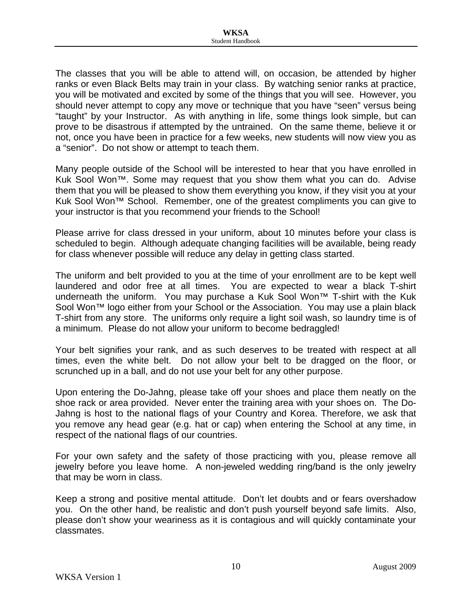The classes that you will be able to attend will, on occasion, be attended by higher ranks or even Black Belts may train in your class. By watching senior ranks at practice, you will be motivated and excited by some of the things that you will see. However, you should never attempt to copy any move or technique that you have "seen" versus being "taught" by your Instructor. As with anything in life, some things look simple, but can prove to be disastrous if attempted by the untrained. On the same theme, believe it or not, once you have been in practice for a few weeks, new students will now view you as a "senior". Do not show or attempt to teach them.

Many people outside of the School will be interested to hear that you have enrolled in Kuk Sool Won™. Some may request that you show them what you can do. Advise them that you will be pleased to show them everything you know, if they visit you at your Kuk Sool Won™ School. Remember, one of the greatest compliments you can give to your instructor is that you recommend your friends to the School!

Please arrive for class dressed in your uniform, about 10 minutes before your class is scheduled to begin. Although adequate changing facilities will be available, being ready for class whenever possible will reduce any delay in getting class started.

The uniform and belt provided to you at the time of your enrollment are to be kept well laundered and odor free at all times. You are expected to wear a black T-shirt underneath the uniform. You may purchase a Kuk Sool Won™ T-shirt with the Kuk Sool Won™ logo either from your School or the Association. You may use a plain black T-shirt from any store. The uniforms only require a light soil wash, so laundry time is of a minimum. Please do not allow your uniform to become bedraggled!

Your belt signifies your rank, and as such deserves to be treated with respect at all times, even the white belt. Do not allow your belt to be dragged on the floor, or scrunched up in a ball, and do not use your belt for any other purpose.

Upon entering the Do-Jahng, please take off your shoes and place them neatly on the shoe rack or area provided. Never enter the training area with your shoes on. The Do-Jahng is host to the national flags of your Country and Korea. Therefore, we ask that you remove any head gear (e.g. hat or cap) when entering the School at any time, in respect of the national flags of our countries.

For your own safety and the safety of those practicing with you, please remove all jewelry before you leave home. A non-jeweled wedding ring/band is the only jewelry that may be worn in class.

Keep a strong and positive mental attitude. Don't let doubts and or fears overshadow you. On the other hand, be realistic and don't push yourself beyond safe limits. Also, please don't show your weariness as it is contagious and will quickly contaminate your classmates.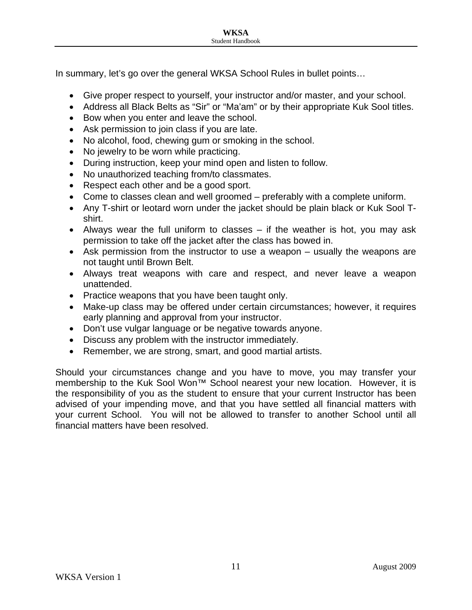In summary, let's go over the general WKSA School Rules in bullet points…

- Give proper respect to yourself, your instructor and/or master, and your school.
- Address all Black Belts as "Sir" or "Ma'am" or by their appropriate Kuk Sool titles.
- Bow when you enter and leave the school.
- Ask permission to join class if you are late.
- No alcohol, food, chewing gum or smoking in the school.
- No jewelry to be worn while practicing.
- During instruction, keep your mind open and listen to follow.
- No unauthorized teaching from/to classmates.
- Respect each other and be a good sport.
- Come to classes clean and well groomed preferably with a complete uniform.
- Any T-shirt or leotard worn under the jacket should be plain black or Kuk Sool Tshirt.
- Always wear the full uniform to classes if the weather is hot, you may ask permission to take off the jacket after the class has bowed in.
- Ask permission from the instructor to use a weapon usually the weapons are not taught until Brown Belt.
- Always treat weapons with care and respect, and never leave a weapon unattended.
- Practice weapons that you have been taught only.
- Make-up class may be offered under certain circumstances; however, it requires early planning and approval from your instructor.
- Don't use vulgar language or be negative towards anyone.
- Discuss any problem with the instructor immediately.
- Remember, we are strong, smart, and good martial artists.

Should your circumstances change and you have to move, you may transfer your membership to the Kuk Sool Won<sup>™</sup> School nearest your new location. However, it is the responsibility of you as the student to ensure that your current Instructor has been advised of your impending move, and that you have settled all financial matters with your current School. You will not be allowed to transfer to another School until all financial matters have been resolved.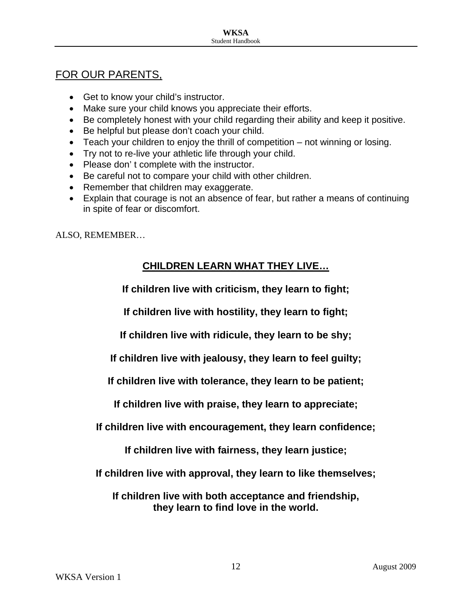## FOR OUR PARENTS,

- Get to know your child's instructor.
- Make sure your child knows you appreciate their efforts.
- Be completely honest with your child regarding their ability and keep it positive.
- Be helpful but please don't coach your child.
- Teach your children to enjoy the thrill of competition not winning or losing.
- Try not to re-live your athletic life through your child.
- Please don't complete with the instructor.
- Be careful not to compare your child with other children.
- Remember that children may exaggerate.
- Explain that courage is not an absence of fear, but rather a means of continuing in spite of fear or discomfort.

ALSO, REMEMBER…

## **CHILDREN LEARN WHAT THEY LIVE…**

**If children live with criticism, they learn to fight;** 

**If children live with hostility, they learn to fight;** 

**If children live with ridicule, they learn to be shy;** 

**If children live with jealousy, they learn to feel guilty;** 

**If children live with tolerance, they learn to be patient;** 

**If children live with praise, they learn to appreciate;** 

**If children live with encouragement, they learn confidence;** 

**If children live with fairness, they learn justice;** 

**If children live with approval, they learn to like themselves;** 

**If children live with both acceptance and friendship, they learn to find love in the world.**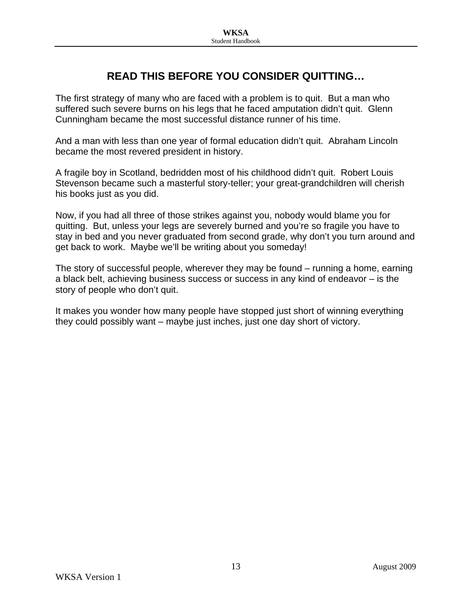## **READ THIS BEFORE YOU CONSIDER QUITTING…**

The first strategy of many who are faced with a problem is to quit. But a man who suffered such severe burns on his legs that he faced amputation didn't quit. Glenn Cunningham became the most successful distance runner of his time.

And a man with less than one year of formal education didn't quit. Abraham Lincoln became the most revered president in history.

A fragile boy in Scotland, bedridden most of his childhood didn't quit. Robert Louis Stevenson became such a masterful story-teller; your great-grandchildren will cherish his books just as you did.

Now, if you had all three of those strikes against you, nobody would blame you for quitting. But, unless your legs are severely burned and you're so fragile you have to stay in bed and you never graduated from second grade, why don't you turn around and get back to work. Maybe we'll be writing about you someday!

The story of successful people, wherever they may be found – running a home, earning a black belt, achieving business success or success in any kind of endeavor – is the story of people who don't quit.

It makes you wonder how many people have stopped just short of winning everything they could possibly want – maybe just inches, just one day short of victory.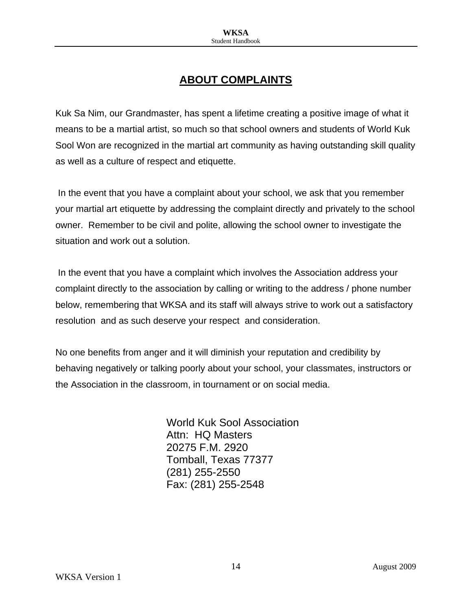## **ABOUT COMPLAINTS**

Kuk Sa Nim, our Grandmaster, has spent a lifetime creating a positive image of what it means to be a martial artist, so much so that school owners and students of World Kuk Sool Won are recognized in the martial art community as having outstanding skill quality as well as a culture of respect and etiquette.

 In the event that you have a complaint about your school, we ask that you remember your martial art etiquette by addressing the complaint directly and privately to the school owner. Remember to be civil and polite, allowing the school owner to investigate the situation and work out a solution.

 In the event that you have a complaint which involves the Association address your complaint directly to the association by calling or writing to the address / phone number below, remembering that WKSA and its staff will always strive to work out a satisfactory resolution and as such deserve your respect and consideration.

No one benefits from anger and it will diminish your reputation and credibility by behaving negatively or talking poorly about your school, your classmates, instructors or the Association in the classroom, in tournament or on social media.

> World Kuk Sool Association Attn: HQ Masters 20275 F.M. 2920 Tomball, Texas 77377 (281) 255-2550 Fax: (281) 255-2548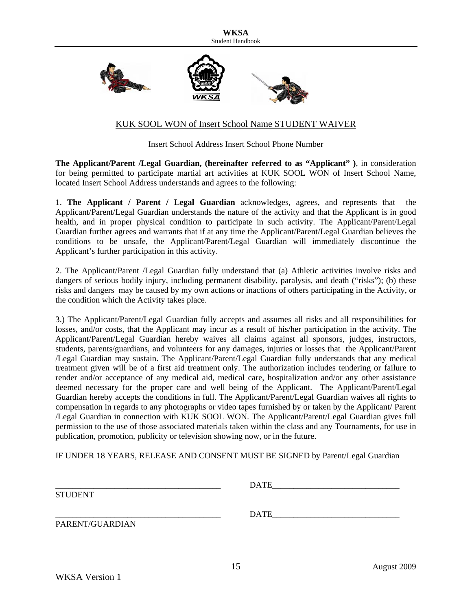

#### KUK SOOL WON of Insert School Name STUDENT WAIVER

Insert School Address Insert School Phone Number

**The Applicant/Parent /Legal Guardian, (hereinafter referred to as "Applicant" )**, in consideration for being permitted to participate martial art activities at KUK SOOL WON of Insert School Name, located Insert School Address understands and agrees to the following:

1. **The Applicant / Parent / Legal Guardian** acknowledges, agrees, and represents that the Applicant/Parent/Legal Guardian understands the nature of the activity and that the Applicant is in good health, and in proper physical condition to participate in such activity. The Applicant/Parent/Legal Guardian further agrees and warrants that if at any time the Applicant/Parent/Legal Guardian believes the conditions to be unsafe, the Applicant/Parent/Legal Guardian will immediately discontinue the Applicant's further participation in this activity.

2. The Applicant/Parent /Legal Guardian fully understand that (a) Athletic activities involve risks and dangers of serious bodily injury, including permanent disability, paralysis, and death ("risks"); (b) these risks and dangers may be caused by my own actions or inactions of others participating in the Activity, or the condition which the Activity takes place.

3.) The Applicant/Parent/Legal Guardian fully accepts and assumes all risks and all responsibilities for losses, and/or costs, that the Applicant may incur as a result of his/her participation in the activity. The Applicant/Parent/Legal Guardian hereby waives all claims against all sponsors, judges, instructors, students, parents/guardians, and volunteers for any damages, injuries or losses that the Applicant/Parent /Legal Guardian may sustain. The Applicant/Parent/Legal Guardian fully understands that any medical treatment given will be of a first aid treatment only. The authorization includes tendering or failure to render and/or acceptance of any medical aid, medical care, hospitalization and/or any other assistance deemed necessary for the proper care and well being of the Applicant. The Applicant/Parent/Legal Guardian hereby accepts the conditions in full. The Applicant/Parent/Legal Guardian waives all rights to compensation in regards to any photographs or video tapes furnished by or taken by the Applicant/ Parent /Legal Guardian in connection with KUK SOOL WON. The Applicant/Parent/Legal Guardian gives full permission to the use of those associated materials taken within the class and any Tournaments, for use in publication, promotion, publicity or television showing now, or in the future.

IF UNDER 18 YEARS, RELEASE AND CONSENT MUST BE SIGNED by Parent/Legal Guardian

|                 | <b>DATE</b> |  |
|-----------------|-------------|--|
| <b>STUDENT</b>  |             |  |
|                 | <b>DATE</b> |  |
| PARENT/GUARDIAN |             |  |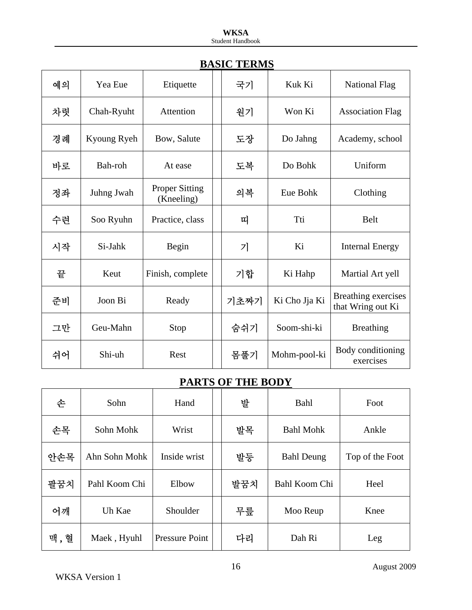|    |             | <u>DI SULV</u>                      | <b>TERMIN</b> |               |                                          |
|----|-------------|-------------------------------------|---------------|---------------|------------------------------------------|
| 예의 | Yea Eue     | Etiquette                           | 국기            | Kuk Ki        | <b>National Flag</b>                     |
| 차렷 | Chah-Ryuht  | Attention                           | 원기            | Won Ki        | <b>Association Flag</b>                  |
| 경례 | Kyoung Ryeh | Bow, Salute                         | 도장            | Do Jahng      | Academy, school                          |
| 바로 | Bah-roh     | At ease                             | 도복            | Do Bohk       | Uniform                                  |
| 정좌 | Juhng Jwah  | <b>Proper Sitting</b><br>(Kneeling) | 의복            | Eue Bohk      | Clothing                                 |
| 수련 | Soo Ryuhn   | Practice, class                     | 띠             | Tti           | Belt                                     |
| 시작 | Si-Jahk     | Begin                               | 기             | Ki            | <b>Internal Energy</b>                   |
| 끝  | Keut        | Finish, complete                    | 기합            | Ki Hahp       | Martial Art yell                         |
| 준비 | Joon Bi     | Ready                               | 기초짜기          | Ki Cho Jja Ki | Breathing exercises<br>that Wring out Ki |
| 그만 | Geu-Mahn    | Stop                                | 숨쉬기           | Soom-shi-ki   | <b>Breathing</b>                         |
| 쉬어 | Shi-uh      | Rest                                | 몸풀기           | Mohm-pool-ki  | Body conditioning<br>exercises           |

## **BASIC TERMS**

## **PARTS OF THE BODY**

| 손   | Sohn          | Hand                  |     | 발  | Bahl              | Foot            |
|-----|---------------|-----------------------|-----|----|-------------------|-----------------|
| 손목  | Sohn Mohk     | Wrist                 |     | 발목 | <b>Bahl Mohk</b>  | Ankle           |
| 안손목 | Ahn Sohn Mohk | Inside wrist          |     | 발등 | <b>Bahl Deung</b> | Top of the Foot |
| 팔꿈치 | Pahl Koom Chi | Elbow                 | 발꿈치 |    | Bahl Koom Chi     | Heel            |
| 어깨  | Uh Kae        | Shoulder              |     | 무릎 | Moo Reup          | Knee            |
| 맥,혈 | Maek, Hyuhl   | <b>Pressure Point</b> |     | 다리 | Dah Ri            | Leg             |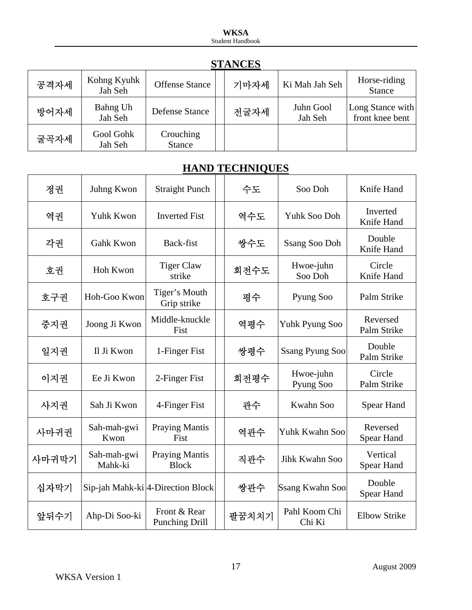| <b>STANCES</b> |                        |                            |  |      |                      |                                     |  |  |
|----------------|------------------------|----------------------------|--|------|----------------------|-------------------------------------|--|--|
| 공격자세           | Kohng Kyuhk<br>Jah Seh | <b>Offense Stance</b>      |  | 기마자세 | Ki Mah Jah Seh       | Horse-riding<br><b>Stance</b>       |  |  |
| 방어자세           | Bahng Uh<br>Jah Seh    | Defense Stance             |  | 전굴자세 | Juhn Gool<br>Jah Seh | Long Stance with<br>front knee bent |  |  |
| 굴곡자세           | Gool Gohk<br>Jah Seh   | Crouching<br><b>Stance</b> |  |      |                      |                                     |  |  |

### **STANCES**

## **HAND TECHNIQUES**

| 정권    | Juhng Kwon             | <b>Straight Punch</b>                          | 수도    | Soo Doh                 | Knife Hand                    |
|-------|------------------------|------------------------------------------------|-------|-------------------------|-------------------------------|
| 역권    | Yuhk Kwon              | <b>Inverted Fist</b>                           | 역수도   | Yuhk Soo Doh            | Inverted<br>Knife Hand        |
| 각권    | <b>Gahk Kwon</b>       | Back-fist                                      | 쌍수도   | <b>Ssang Soo Doh</b>    | Double<br>Knife Hand          |
| 호권    | Hoh Kwon               | <b>Tiger Claw</b><br>strike                    | 회전수도  | Hwoe-juhn<br>Soo Doh    | Circle<br>Knife Hand          |
| 호구권   | Hoh-Goo Kwon           | Tiger's Mouth<br>Grip strike                   | 평수    | Pyung Soo               | Palm Strike                   |
| 중지권   | Joong Ji Kwon          | Middle-knuckle<br>Fist                         | 역평수   | Yuhk Pyung Soo          | Reversed<br>Palm Strike       |
| 일지권   | Il Ji Kwon             | 1-Finger Fist                                  | 쌍평수   | <b>Ssang Pyung Soo</b>  | Double<br>Palm Strike         |
| 이지권   | Ee Ji Kwon             | 2-Finger Fist                                  | 회전평수  | Hwoe-juhn<br>Pyung Soo  | Circle<br>Palm Strike         |
| 사지권   | Sah Ji Kwon            | 4-Finger Fist                                  | 관수    | Kwahn Soo               | Spear Hand                    |
| 사마귀권  | Sah-mah-gwi<br>Kwon    | <b>Praying Mantis</b><br>Fist                  | 역관수   | Yuhk Kwahn Soo          | Reversed<br><b>Spear Hand</b> |
| 사마귀막기 | Sah-mah-gwi<br>Mahk-ki | <b>Praying Mantis</b><br><b>Block</b>          | 직관수   | Jihk Kwahn Soo          | Vertical<br>Spear Hand        |
| 십자막기  |                        | Sip-jah Mahk-ki <sup> 4</sup> -Direction Block | 쌍관수   | <b>Ssang Kwahn Soo</b>  | Double<br>Spear Hand          |
| 앞뒤수기  | Ahp-Di Soo-ki          | Front & Rear<br><b>Punching Drill</b>          | 팔꿈치치기 | Pahl Koom Chi<br>Chi Ki | <b>Elbow Strike</b>           |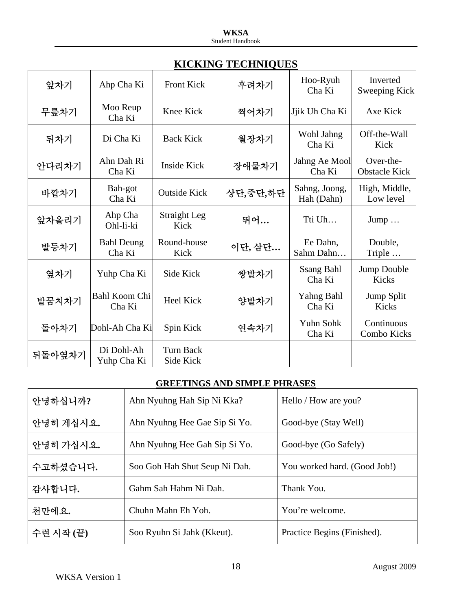| 앞차기    | Ahp Cha Ki                  | <b>Front Kick</b>             |       | 후려차기     | Hoo-Ryuh<br>Cha Ki          | Inverted<br>Sweeping Kick         |
|--------|-----------------------------|-------------------------------|-------|----------|-----------------------------|-----------------------------------|
| 무릎차기   | Moo Reup<br>Cha Ki          | Knee Kick                     |       | 찍어차기     | Jjik Uh Cha Ki              | Axe Kick                          |
| 뒤차기    | Di Cha Ki                   | <b>Back Kick</b>              | 월장차기  |          | Wohl Jahng<br>Cha Ki        | Off-the-Wall<br>Kick              |
| 안다리차기  | Ahn Dah Ri<br>Cha Ki        | <b>Inside Kick</b>            | 장애물차기 |          | Jahng Ae Mool<br>Cha Ki     | Over-the-<br><b>Obstacle Kick</b> |
| 바깥차기   | Bah-got<br>Cha Ki           | <b>Outside Kick</b>           |       | 상단,중단,하단 | Sahng, Joong,<br>Hah (Dahn) | High, Middle,<br>Low level        |
| 앞차올리기  | Ahp Cha<br>Ohl-li-ki        | Straight Leg<br>Kick          |       | 뛰어       | Tti Uh                      | $Jump \dots$                      |
| 발등차기   | <b>Bahl Deung</b><br>Cha Ki | Round-house<br>Kick           |       | 이단, 삼단   | Ee Dahn,<br>Sahm Dahn       | Double,<br>Triple                 |
| 옆차기    | Yuhp Cha Ki                 | Side Kick                     |       | 쌍발차기     | <b>Ssang Bahl</b><br>Cha Ki | Jump Double<br><b>Kicks</b>       |
| 발꿈치차기  | Bahl Koom Chi<br>Cha Ki     | <b>Heel Kick</b>              |       | 양발차기     | Yahng Bahl<br>Cha Ki        | Jump Split<br>Kicks               |
| 돌아차기   | Dohl-Ah Cha Ki              | Spin Kick                     |       | 연속차기     | Yuhn Sohk<br>Cha Ki         | Continuous<br>Combo Kicks         |
| 뒤돌아옆차기 | Di Dohl-Ah<br>Yuhp Cha Ki   | <b>Turn Back</b><br>Side Kick |       |          |                             |                                   |

## **GREETINGS AND SIMPLE PHRASES**

| 안녕하십니까?   | Ahn Nyuhng Hah Sip Ni Kka?    | Hello / How are you?         |  |  |  |
|-----------|-------------------------------|------------------------------|--|--|--|
| 안녕히 계십시요. | Ahn Nyuhng Hee Gae Sip Si Yo. | Good-bye (Stay Well)         |  |  |  |
| 안녕히 가십시요. | Ahn Nyuhng Hee Gah Sip Si Yo. | Good-bye (Go Safely)         |  |  |  |
| 수고하셨습니다.  | Soo Goh Hah Shut Seup Ni Dah. | You worked hard. (Good Job!) |  |  |  |
| 감사합니다.    | Gahm Sah Hahm Ni Dah.         | Thank You.                   |  |  |  |
| 천만에요.     | Chuhn Mahn Eh Yoh.            | You're welcome.              |  |  |  |
| 수련 시작 (끝) | Soo Ryuhn Si Jahk (Kkeut).    | Practice Begins (Finished).  |  |  |  |